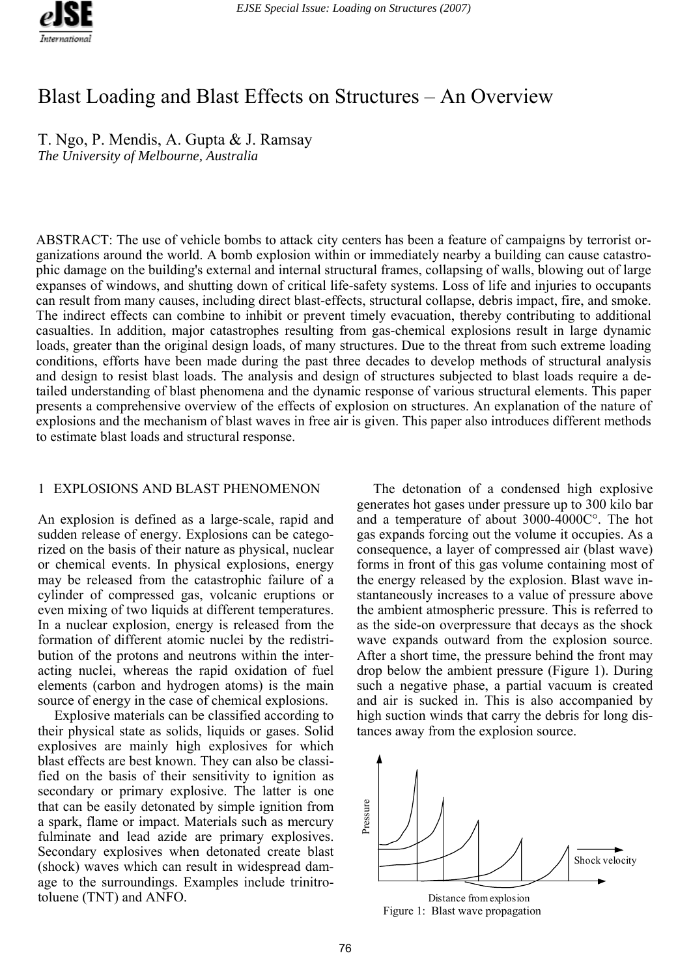

# Blast Loading and Blast Effects on Structures – An Overview

T. Ngo, P. Mendis, A. Gupta & J. Ramsay *The University of Melbourne, Australia* 

ABSTRACT: The use of vehicle bombs to attack city centers has been a feature of campaigns by terrorist organizations around the world. A bomb explosion within or immediately nearby a building can cause catastrophic damage on the building's external and internal structural frames, collapsing of walls, blowing out of large expanses of windows, and shutting down of critical life-safety systems. Loss of life and injuries to occupants can result from many causes, including direct blast-effects, structural collapse, debris impact, fire, and smoke. The indirect effects can combine to inhibit or prevent timely evacuation, thereby contributing to additional casualties. In addition, major catastrophes resulting from gas-chemical explosions result in large dynamic loads, greater than the original design loads, of many structures. Due to the threat from such extreme loading conditions, efforts have been made during the past three decades to develop methods of structural analysis and design to resist blast loads. The analysis and design of structures subjected to blast loads require a detailed understanding of blast phenomena and the dynamic response of various structural elements. This paper presents a comprehensive overview of the effects of explosion on structures. An explanation of the nature of explosions and the mechanism of blast waves in free air is given. This paper also introduces different methods to estimate blast loads and structural response.

## 1 EXPLOSIONS AND BLAST PHENOMENON

An explosion is defined as a large-scale, rapid and sudden release of energy. Explosions can be categorized on the basis of their nature as physical, nuclear or chemical events. In physical explosions, energy may be released from the catastrophic failure of a cylinder of compressed gas, volcanic eruptions or even mixing of two liquids at different temperatures. In a nuclear explosion, energy is released from the formation of different atomic nuclei by the redistribution of the protons and neutrons within the interacting nuclei, whereas the rapid oxidation of fuel elements (carbon and hydrogen atoms) is the main source of energy in the case of chemical explosions.

Explosive materials can be classified according to their physical state as solids, liquids or gases. Solid explosives are mainly high explosives for which blast effects are best known. They can also be classified on the basis of their sensitivity to ignition as secondary or primary explosive. The latter is one that can be easily detonated by simple ignition from a spark, flame or impact. Materials such as mercury fulminate and lead azide are primary explosives. Secondary explosives when detonated create blast (shock) waves which can result in widespread damage to the surroundings. Examples include trinitrotoluene (TNT) and ANFO.

The detonation of a condensed high explosive generates hot gases under pressure up to 300 kilo bar and a temperature of about 3000-4000C°. The hot gas expands forcing out the volume it occupies. As a consequence, a layer of compressed air (blast wave) forms in front of this gas volume containing most of the energy released by the explosion. Blast wave instantaneously increases to a value of pressure above the ambient atmospheric pressure. This is referred to as the side-on overpressure that decays as the shock wave expands outward from the explosion source. After a short time, the pressure behind the front may drop below the ambient pressure (Figure 1). During such a negative phase, a partial vacuum is created and air is sucked in. This is also accompanied by high suction winds that carry the debris for long distances away from the explosion source.



Figure 1: Blast wave propagation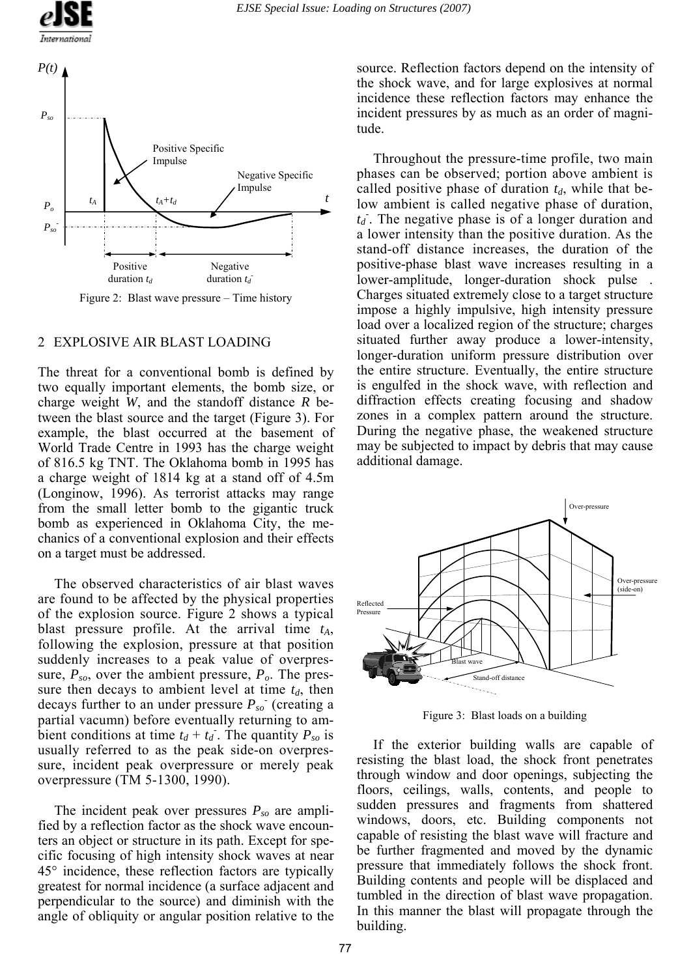



Figure 2: Blast wave pressure – Time history

#### 2 EXPLOSIVE AIR BLAST LOADING

The threat for a conventional bomb is defined by two equally important elements, the bomb size, or charge weight *W*, and the standoff distance *R* between the blast source and the target (Figure 3). For example, the blast occurred at the basement of World Trade Centre in 1993 has the charge weight of 816.5 kg TNT. The Oklahoma bomb in 1995 has a charge weight of 1814 kg at a stand off of 4.5m (Longinow, 1996). As terrorist attacks may range from the small letter bomb to the gigantic truck bomb as experienced in Oklahoma City, the mechanics of a conventional explosion and their effects on a target must be addressed.

The observed characteristics of air blast waves are found to be affected by the physical properties of the explosion source. Figure 2 shows a typical blast pressure profile. At the arrival time  $t_A$ , following the explosion, pressure at that position suddenly increases to a peak value of overpressure, *Pso*, over the ambient pressure, *Po*. The pressure then decays to ambient level at time  $t_d$ , then decays further to an under pressure *Pso-* (creating a partial vacumn) before eventually returning to ambient conditions at time  $t_d + t_d$ . The quantity  $P_{so}$  is usually referred to as the peak side-on overpressure, incident peak overpressure or merely peak overpressure (TM 5-1300, 1990).

The incident peak over pressures *Pso* are amplified by a reflection factor as the shock wave encounters an object or structure in its path. Except for specific focusing of high intensity shock waves at near 45° incidence, these reflection factors are typically greatest for normal incidence (a surface adjacent and perpendicular to the source) and diminish with the angle of obliquity or angular position relative to the

source. Reflection factors depend on the intensity of the shock wave, and for large explosives at normal incidence these reflection factors may enhance the incident pressures by as much as an order of magnitude.

Throughout the pressure-time profile, two main phases can be observed; portion above ambient is called positive phase of duration  $t_d$ , while that below ambient is called negative phase of duration,  $t_d$ . The negative phase is of a longer duration and a lower intensity than the positive duration. As the stand-off distance increases, the duration of the positive-phase blast wave increases resulting in a lower-amplitude, longer-duration shock pulse . Charges situated extremely close to a target structure impose a highly impulsive, high intensity pressure load over a localized region of the structure; charges situated further away produce a lower-intensity, longer-duration uniform pressure distribution over the entire structure. Eventually, the entire structure is engulfed in the shock wave, with reflection and diffraction effects creating focusing and shadow zones in a complex pattern around the structure. During the negative phase, the weakened structure may be subjected to impact by debris that may cause additional damage.



Figure 3: Blast loads on a building

If the exterior building walls are capable of resisting the blast load, the shock front penetrates through window and door openings, subjecting the floors, ceilings, walls, contents, and people to sudden pressures and fragments from shattered windows, doors, etc. Building components not capable of resisting the blast wave will fracture and be further fragmented and moved by the dynamic pressure that immediately follows the shock front. Building contents and people will be displaced and tumbled in the direction of blast wave propagation. In this manner the blast will propagate through the building.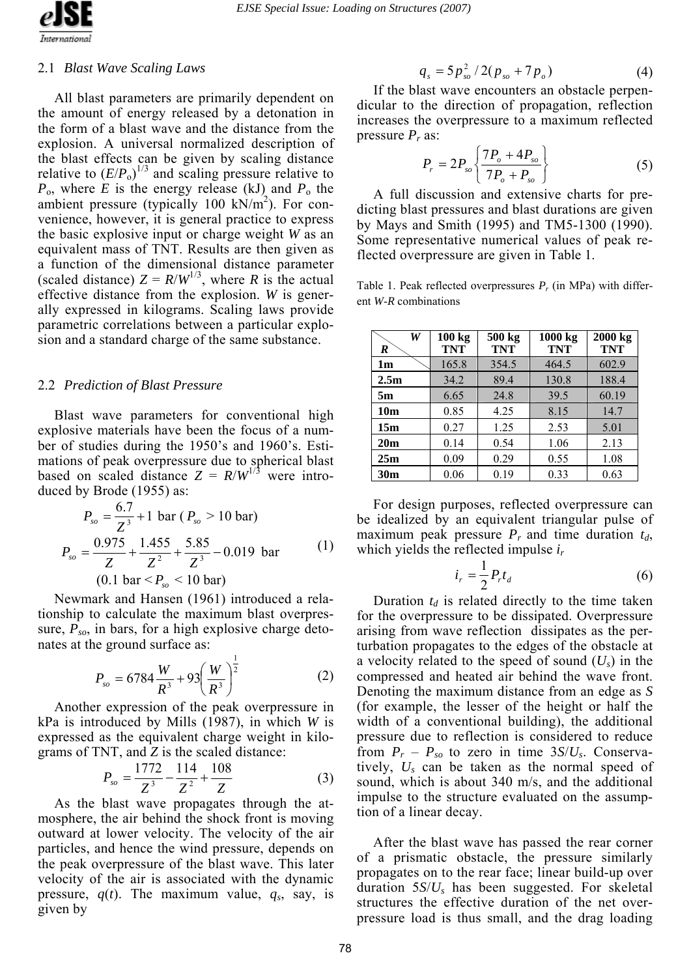

#### 2.1 *Blast Wave Scaling Laws*

All blast parameters are primarily dependent on the amount of energy released by a detonation in the form of a blast wave and the distance from the explosion. A universal normalized description of the blast effects can be given by scaling distance relative to  $(E/P_0)^{1/3}$  and scaling pressure relative to  $P_0$ , where *E* is the energy release (kJ) and  $P_0$  the ambient pressure (typically 100 kN/m<sup>2</sup>). For convenience, however, it is general practice to express the basic explosive input or charge weight *W* as an equivalent mass of TNT. Results are then given as a function of the dimensional distance parameter (scaled distance)  $Z = R/W^{1/3}$ , where *R* is the actual effective distance from the explosion. *W* is generally expressed in kilograms. Scaling laws provide parametric correlations between a particular explosion and a standard charge of the same substance.

#### 2.2 *Prediction of Blast Pressure*

Blast wave parameters for conventional high explosive materials have been the focus of a number of studies during the 1950's and 1960's. Estimations of peak overpressure due to spherical blast based on scaled distance  $Z = R/W^{1/3}$  were introduced by Brode (1955) as:

$$
P_{so} = \frac{6.7}{Z^3} + 1 \text{ bar } (P_{so} > 10 \text{ bar})
$$
  
\n
$$
P_{so} = \frac{0.975}{Z} + \frac{1.455}{Z^2} + \frac{5.85}{Z^3} - 0.019 \text{ bar}
$$
 (1)  
\n
$$
(0.1 \text{ bar} < P_{so} < 10 \text{ bar})
$$

Newmark and Hansen (1961) introduced a relationship to calculate the maximum blast overpressure,  $P_{so}$ , in bars, for a high explosive charge detonates at the ground surface as:

$$
P_{so} = 6784 \frac{W}{R^3} + 93 \left(\frac{W}{R^3}\right)^{\frac{1}{2}}
$$
 (2)

Another expression of the peak overpressure in kPa is introduced by Mills (1987), in which *W* is expressed as the equivalent charge weight in kilograms of TNT, and *Z* is the scaled distance:

$$
P_{so} = \frac{1772}{Z^3} - \frac{114}{Z^2} + \frac{108}{Z}
$$
 (3)

As the blast wave propagates through the atmosphere, the air behind the shock front is moving outward at lower velocity. The velocity of the air particles, and hence the wind pressure, depends on the peak overpressure of the blast wave. This later velocity of the air is associated with the dynamic pressure,  $q(t)$ . The maximum value,  $q_s$ , say, is given by

$$
q_s = 5p_{so}^2/2(p_{so} + 7p_o)
$$
 (4)

If the blast wave encounters an obstacle perpendicular to the direction of propagation, reflection increases the overpressure to a maximum reflected pressure  $P_r$  as:

$$
P_r = 2P_{so} \left\{ \frac{7P_o + 4P_{so}}{7P_o + P_{so}} \right\}
$$
 (5)

A full discussion and extensive charts for predicting blast pressures and blast durations are given by Mays and Smith (1995) and TM5-1300 (1990). Some representative numerical values of peak reflected overpressure are given in Table 1.

Table 1. Peak reflected overpressures  $P_r$  (in MPa) with different *W*-*R* combinations

| W<br>R           | 100 kg<br><b>TNT</b> | 500 kg<br><b>TNT</b> | 1000 kg<br><b>TNT</b> | 2000 kg<br><b>TNT</b> |
|------------------|----------------------|----------------------|-----------------------|-----------------------|
| 1 <sub>m</sub>   | 165.8                | 354.5                | 464.5                 | 602.9                 |
| 2.5 <sub>m</sub> | 34.2                 | 89.4                 | 130.8                 | 188.4                 |
| 5m               | 6.65                 | 24.8                 | 39.5                  | 60.19                 |
| 10 <sub>m</sub>  | 0.85                 | 4.25                 | 8.15                  | 14.7                  |
| 15m              | 0.27                 | 1.25                 | 2.53                  | 5.01                  |
| 20 <sub>m</sub>  | 0.14                 | 0.54                 | 1.06                  | 2.13                  |
| 25m              | 0.09                 | 0.29                 | 0.55                  | 1.08                  |
| 30 <sub>m</sub>  | 0.06                 | 0.19                 | 0.33                  | 0.63                  |

For design purposes, reflected overpressure can be idealized by an equivalent triangular pulse of maximum peak pressure  $P_r$  and time duration  $t_d$ , which yields the reflected impulse *ir*

$$
i_r = \frac{1}{2} P_r t_d \tag{6}
$$

Duration  $t_d$  is related directly to the time taken for the overpressure to be dissipated. Overpressure arising from wave reflection dissipates as the perturbation propagates to the edges of the obstacle at a velocity related to the speed of sound (*Us*) in the compressed and heated air behind the wave front. Denoting the maximum distance from an edge as *S* (for example, the lesser of the height or half the width of a conventional building), the additional pressure due to reflection is considered to reduce from  $P_r - P_{so}$  to zero in time  $3S/U_s$ . Conservatively, *Us* can be taken as the normal speed of sound, which is about 340 m/s, and the additional impulse to the structure evaluated on the assumption of a linear decay.

After the blast wave has passed the rear corner of a prismatic obstacle, the pressure similarly propagates on to the rear face; linear build-up over duration 5*S*/*Us* has been suggested. For skeletal structures the effective duration of the net overpressure load is thus small, and the drag loading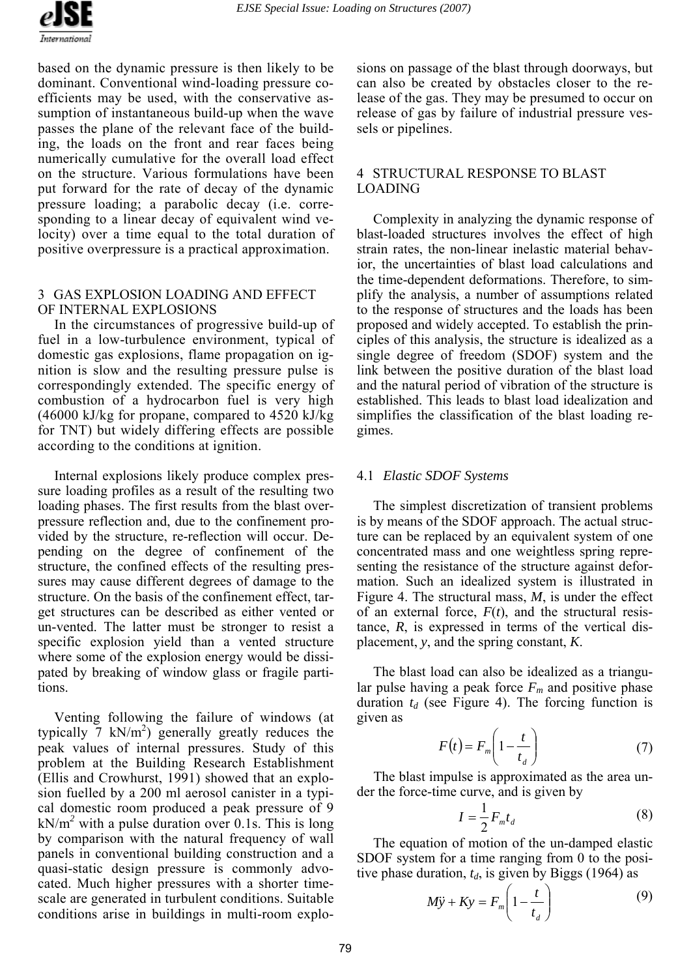

based on the dynamic pressure is then likely to be dominant. Conventional wind-loading pressure coefficients may be used, with the conservative assumption of instantaneous build-up when the wave passes the plane of the relevant face of the building, the loads on the front and rear faces being numerically cumulative for the overall load effect on the structure. Various formulations have been put forward for the rate of decay of the dynamic pressure loading; a parabolic decay (i.e. corresponding to a linear decay of equivalent wind velocity) over a time equal to the total duration of positive overpressure is a practical approximation.

# 3 GAS EXPLOSION LOADING AND EFFECT OF INTERNAL EXPLOSIONS

In the circumstances of progressive build-up of fuel in a low-turbulence environment, typical of domestic gas explosions, flame propagation on ignition is slow and the resulting pressure pulse is correspondingly extended. The specific energy of combustion of a hydrocarbon fuel is very high (46000 kJ/kg for propane, compared to 4520 kJ/kg for TNT) but widely differing effects are possible according to the conditions at ignition.

Internal explosions likely produce complex pressure loading profiles as a result of the resulting two loading phases. The first results from the blast overpressure reflection and, due to the confinement provided by the structure, re-reflection will occur. Depending on the degree of confinement of the structure, the confined effects of the resulting pressures may cause different degrees of damage to the structure. On the basis of the confinement effect, target structures can be described as either vented or un-vented. The latter must be stronger to resist a specific explosion yield than a vented structure where some of the explosion energy would be dissipated by breaking of window glass or fragile partitions.

Venting following the failure of windows (at typically  $\frac{7}{7}$  kN/m<sup>2</sup>) generally greatly reduces the peak values of internal pressures. Study of this problem at the Building Research Establishment (Ellis and Crowhurst, 1991) showed that an explosion fuelled by a 200 ml aerosol canister in a typical domestic room produced a peak pressure of 9 kN/m*<sup>2</sup>* with a pulse duration over 0.1s. This is long by comparison with the natural frequency of wall panels in conventional building construction and a quasi-static design pressure is commonly advocated. Much higher pressures with a shorter timescale are generated in turbulent conditions. Suitable conditions arise in buildings in multi-room explosions on passage of the blast through doorways, but can also be created by obstacles closer to the release of the gas. They may be presumed to occur on release of gas by failure of industrial pressure vessels or pipelines.

# 4 STRUCTURAL RESPONSE TO BLAST LOADING

Complexity in analyzing the dynamic response of blast-loaded structures involves the effect of high strain rates, the non-linear inelastic material behavior, the uncertainties of blast load calculations and the time-dependent deformations. Therefore, to simplify the analysis, a number of assumptions related to the response of structures and the loads has been proposed and widely accepted. To establish the principles of this analysis, the structure is idealized as a single degree of freedom (SDOF) system and the link between the positive duration of the blast load and the natural period of vibration of the structure is established. This leads to blast load idealization and simplifies the classification of the blast loading regimes.

#### 4.1 *Elastic SDOF Systems*

The simplest discretization of transient problems is by means of the SDOF approach. The actual structure can be replaced by an equivalent system of one concentrated mass and one weightless spring representing the resistance of the structure against deformation. Such an idealized system is illustrated in Figure 4. The structural mass, *M*, is under the effect of an external force, *F*(*t*), and the structural resistance, *R*, is expressed in terms of the vertical displacement, *y*, and the spring constant, *K*.

The blast load can also be idealized as a triangular pulse having a peak force  $F_m$  and positive phase duration  $t_d$  (see Figure 4). The forcing function is given as

$$
F(t) = F_m \left( 1 - \frac{t}{t_d} \right) \tag{7}
$$

The blast impulse is approximated as the area under the force-time curve, and is given by

$$
I = \frac{1}{2} F_m t_d \tag{8}
$$

The equation of motion of the un-damped elastic SDOF system for a time ranging from 0 to the positive phase duration,  $t_d$ , is given by Biggs (1964) as

$$
M\ddot{y} + Ky = F_m \left(1 - \frac{t}{t_d}\right) \tag{9}
$$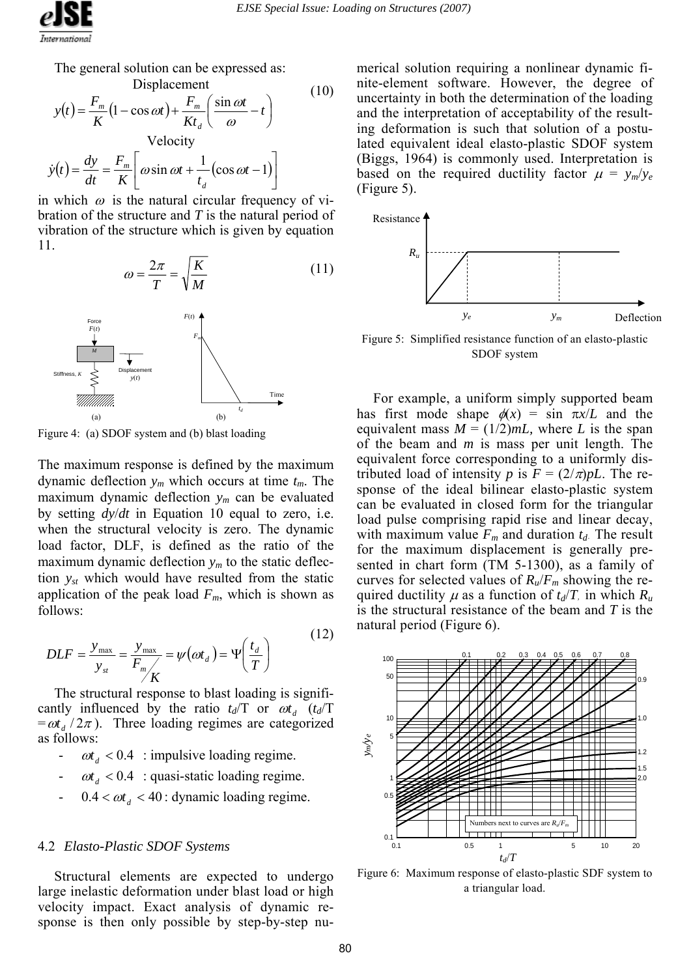

The general solution can be expressed as:

$$
\text{Displacement} \tag{10}
$$
\n
$$
y(t) = \frac{F_m}{K} \left( 1 - \cos \omega t \right) + \frac{F_m}{K t_d} \left( \frac{\sin \omega t}{\omega} - t \right)
$$
\n
$$
\text{Velocity}
$$
\n
$$
\dot{y}(t) = \frac{dy}{dt} = \frac{F_m}{K} \left[ \omega \sin \omega t + \frac{1}{t_d} (\cos \omega t - 1) \right]
$$

in which  $\omega$  is the natural circular frequency of vibration of the structure and *T* is the natural period of vibration of the structure which is given by equation 11.

$$
\omega = \frac{2\pi}{T} = \sqrt{\frac{K}{M}}
$$
\n(11)



Figure 4: (a) SDOF system and (b) blast loading

The maximum response is defined by the maximum dynamic deflection *ym* which occurs at time *tm*. The maximum dynamic deflection *ym* can be evaluated by setting *dy*/*dt* in Equation 10 equal to zero, i.e. when the structural velocity is zero. The dynamic load factor, DLF, is defined as the ratio of the maximum dynamic deflection  $y_m$  to the static deflection *yst* which would have resulted from the static application of the peak load  $F_m$ , which is shown as follows:

$$
DLF = \frac{y_{\text{max}}}{y_{st}} = \frac{y_{\text{max}}}{F_m / K} = \psi(\omega t_d) = \Psi\left(\frac{t_d}{T}\right)
$$
(12)

The structural response to blast loading is significantly influenced by the ratio  $t_d/T$  or  $\omega t_d$  ( $t_d/T$ )  $=\omega t_d/2\pi$ ). Three loading regimes are categorized as follows:

- $\omega t_d$  < 0.4 : impulsive loading regime.
- $\omega t_d$  < 0.4 : quasi-static loading regime.
- $0.4 < \omega t_d < 40$ : dynamic loading regime.

#### 4.2 *Elasto-Plastic SDOF Systems*

Structural elements are expected to undergo large inelastic deformation under blast load or high velocity impact. Exact analysis of dynamic response is then only possible by step-by-step numerical solution requiring a nonlinear dynamic finite-element software. However, the degree of uncertainty in both the determination of the loading and the interpretation of acceptability of the resulting deformation is such that solution of a postulated equivalent ideal elasto-plastic SDOF system (Biggs, 1964) is commonly used. Interpretation is based on the required ductility factor  $\mu = v_m/v_e$ (Figure 5).



Figure 5: Simplified resistance function of an elasto-plastic SDOF system

For example, a uniform simply supported beam has first mode shape  $\phi(x) = \sin \pi x/L$  and the equivalent mass  $M = (1/2) mL$ , where *L* is the span of the beam and *m* is mass per unit length. The equivalent force corresponding to a uniformly distributed load of intensity *p* is  $F = (2/\pi)pL$ . The response of the ideal bilinear elasto-plastic system can be evaluated in closed form for the triangular load pulse comprising rapid rise and linear decay, with maximum value  $F_m$  and duration  $t_d$ . The result for the maximum displacement is generally presented in chart form (TM 5-1300), as a family of curves for selected values of  $R_u/F_m$  showing the required ductility  $\mu$  as a function of  $t_d/T$ , in which  $R_u$ is the structural resistance of the beam and *T* is the natural period (Figure 6).



Figure 6: Maximum response of elasto-plastic SDF system to a triangular load.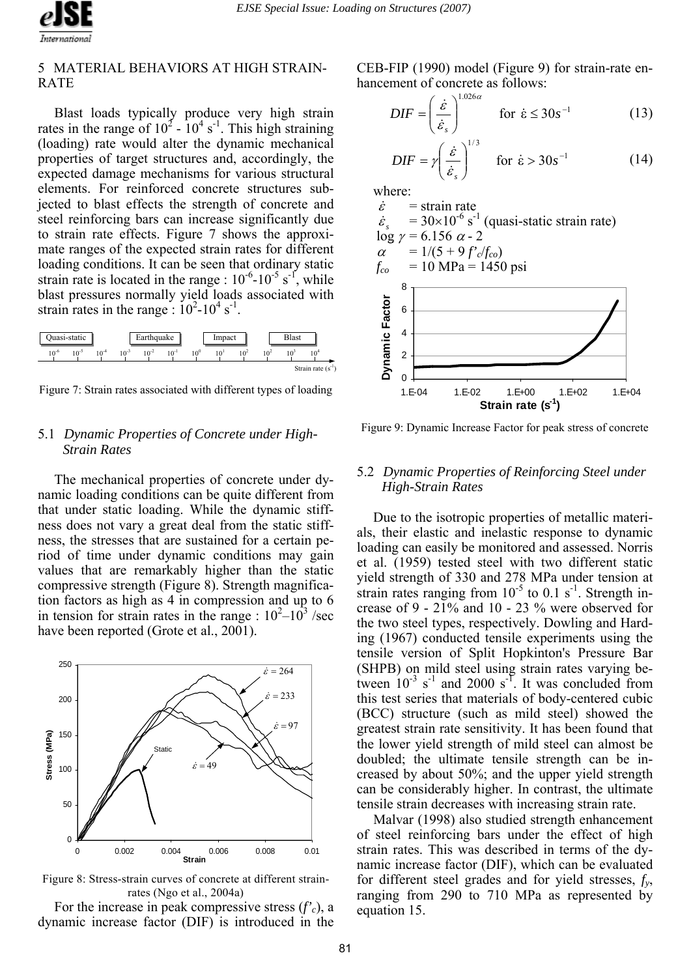

## 5 MATERIAL BEHAVIORS AT HIGH STRAIN-RATE

Blast loads typically produce very high strain rates in the range of  $10^2 - 10^4$  s<sup>-1</sup>. This high straining (loading) rate would alter the dynamic mechanical properties of target structures and, accordingly, the expected damage mechanisms for various structural elements. For reinforced concrete structures subjected to blast effects the strength of concrete and steel reinforcing bars can increase significantly due to strain rate effects. Figure 7 shows the approximate ranges of the expected strain rates for different loading conditions. It can be seen that ordinary static strain rate is located in the range :  $10^{-6}$ - $10^{-5}$  s<sup>-1</sup>, while blast pressures normally yield loads associated with strain rates in the range :  $10^2$ - $10^4$  s<sup>-1</sup>.



Figure 7: Strain rates associated with different types of loading

## 5.1 *Dynamic Properties of Concrete under High-Strain Rates*

The mechanical properties of concrete under dynamic loading conditions can be quite different from that under static loading. While the dynamic stiffness does not vary a great deal from the static stiffness, the stresses that are sustained for a certain period of time under dynamic conditions may gain values that are remarkably higher than the static compressive strength (Figure 8). Strength magnification factors as high as 4 in compression and up to 6 in tension for strain rates in the range :  $10^2 - 10^3$  /sec have been reported (Grote et al., 2001).



Figure 8: Stress-strain curves of concrete at different strainrates (Ngo et al., 2004a)

For the increase in peak compressive stress (*f'c*), a dynamic increase factor (DIF) is introduced in the

CEB-FIP (1990) model (Figure 9) for strain-rate enhancement of concrete as follows:

$$
DIF = \left(\frac{\dot{\varepsilon}}{\dot{\varepsilon}_s}\right)^{1.026\alpha} \quad \text{for } \dot{\varepsilon} \le 30s^{-1} \tag{13}
$$

$$
DIF = \gamma \left(\frac{\dot{\varepsilon}}{\dot{\varepsilon}_s}\right)^{1/3} \quad \text{for } \dot{\varepsilon} > 30s^{-1} \tag{14}
$$

where:

 $\dot{\varepsilon}$  = strain rate  $\dot{\varepsilon}_s$  = 30×10<sup>-6</sup> s<sup>-1</sup> (quasi-static strain rate) log  $\gamma$  = 6.156 α - 2  $\alpha = 1/(5 + 9 f'_{c}/f_{co})$  $f_{co}$  = 10 MPa = 1450 psi 8



Figure 9: Dynamic Increase Factor for peak stress of concrete

#### 5.2 *Dynamic Properties of Reinforcing Steel under High-Strain Rates*

Due to the isotropic properties of metallic materials, their elastic and inelastic response to dynamic loading can easily be monitored and assessed. Norris et al. (1959) tested steel with two different static yield strength of 330 and 278 MPa under tension at strain rates ranging from  $10^{-5}$  to 0.1 s<sup>-1</sup>. Strength increase of 9 - 21% and 10 - 23 % were observed for the two steel types, respectively. Dowling and Harding (1967) conducted tensile experiments using the tensile version of Split Hopkinton's Pressure Bar (SHPB) on mild steel using strain rates varying between  $10^{-3}$  s<sup>-1</sup> and 2000 s<sup>-1</sup>. It was concluded from this test series that materials of body-centered cubic (BCC) structure (such as mild steel) showed the greatest strain rate sensitivity. It has been found that the lower yield strength of mild steel can almost be doubled; the ultimate tensile strength can be increased by about 50%; and the upper yield strength can be considerably higher. In contrast, the ultimate tensile strain decreases with increasing strain rate.

Malvar (1998) also studied strength enhancement of steel reinforcing bars under the effect of high strain rates. This was described in terms of the dynamic increase factor (DIF), which can be evaluated for different steel grades and for yield stresses, *fy*, ranging from 290 to 710 MPa as represented by equation 15.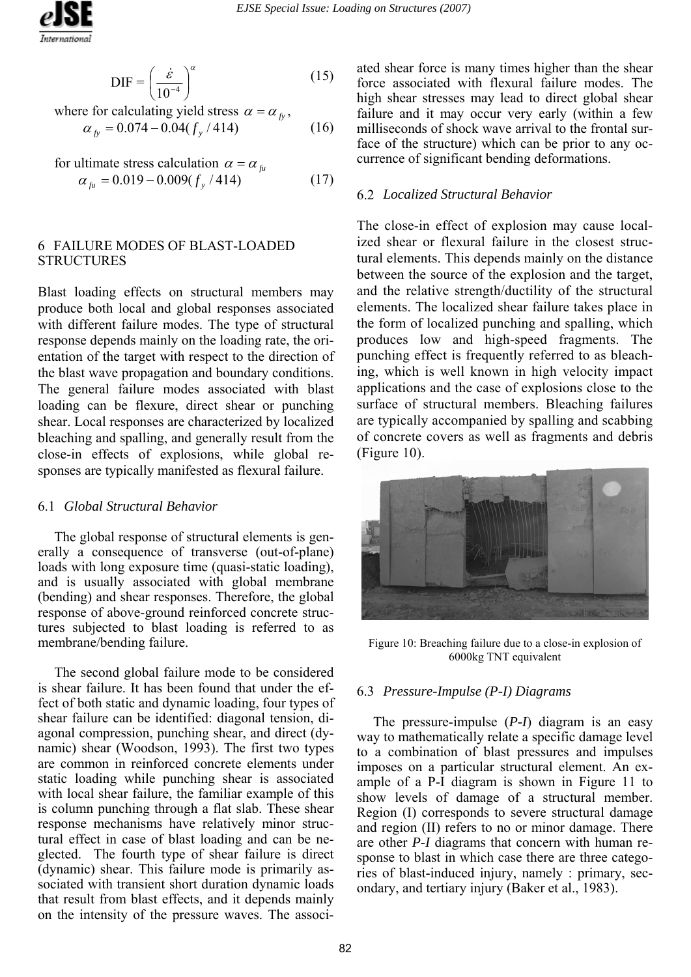

$$
DIF = \left(\frac{\dot{\varepsilon}}{10^{-4}}\right)^{\alpha} \tag{15}
$$

where for calculating yield stress 
$$
\alpha = \alpha_{f_y}
$$
,  
\n $\alpha_{f_y} = 0.074 - 0.04(f_y / 414)$  (16)

for ultimate stress calculation 
$$
\alpha = \alpha_{fu}
$$
  
\n $\alpha_{fu} = 0.019 - 0.009(f_y / 414)$  (17)

## 6 FAILURE MODES OF BLAST-LOADED **STRUCTURES**

Blast loading effects on structural members may produce both local and global responses associated with different failure modes. The type of structural response depends mainly on the loading rate, the orientation of the target with respect to the direction of the blast wave propagation and boundary conditions. The general failure modes associated with blast loading can be flexure, direct shear or punching shear. Local responses are characterized by localized bleaching and spalling, and generally result from the close-in effects of explosions, while global responses are typically manifested as flexural failure.

#### 6.1 *Global Structural Behavior*

The global response of structural elements is generally a consequence of transverse (out-of-plane) loads with long exposure time (quasi-static loading), and is usually associated with global membrane (bending) and shear responses. Therefore, the global response of above-ground reinforced concrete structures subjected to blast loading is referred to as membrane/bending failure.

The second global failure mode to be considered is shear failure. It has been found that under the effect of both static and dynamic loading, four types of shear failure can be identified: diagonal tension, diagonal compression, punching shear, and direct (dynamic) shear (Woodson, 1993). The first two types are common in reinforced concrete elements under static loading while punching shear is associated with local shear failure, the familiar example of this is column punching through a flat slab. These shear response mechanisms have relatively minor structural effect in case of blast loading and can be neglected. The fourth type of shear failure is direct (dynamic) shear. This failure mode is primarily associated with transient short duration dynamic loads that result from blast effects, and it depends mainly on the intensity of the pressure waves. The associ-

ated shear force is many times higher than the shear force associated with flexural failure modes. The high shear stresses may lead to direct global shear failure and it may occur very early (within a few milliseconds of shock wave arrival to the frontal surface of the structure) which can be prior to any occurrence of significant bending deformations.

## 6.2 *Localized Structural Behavior*

The close-in effect of explosion may cause localized shear or flexural failure in the closest structural elements. This depends mainly on the distance between the source of the explosion and the target, and the relative strength/ductility of the structural elements. The localized shear failure takes place in the form of localized punching and spalling, which produces low and high-speed fragments. The punching effect is frequently referred to as bleaching, which is well known in high velocity impact applications and the case of explosions close to the surface of structural members. Bleaching failures are typically accompanied by spalling and scabbing of concrete covers as well as fragments and debris (Figure 10).



Figure 10: Breaching failure due to a close-in explosion of 6000kg TNT equivalent

#### 6.3 *Pressure-Impulse (P-I) Diagrams*

The pressure-impulse (*P-I*) diagram is an easy way to mathematically relate a specific damage level to a combination of blast pressures and impulses imposes on a particular structural element. An example of a P-I diagram is shown in Figure 11 to show levels of damage of a structural member. Region (I) corresponds to severe structural damage and region (II) refers to no or minor damage. There are other *P-I* diagrams that concern with human response to blast in which case there are three categories of blast-induced injury, namely : primary, secondary, and tertiary injury (Baker et al., 1983).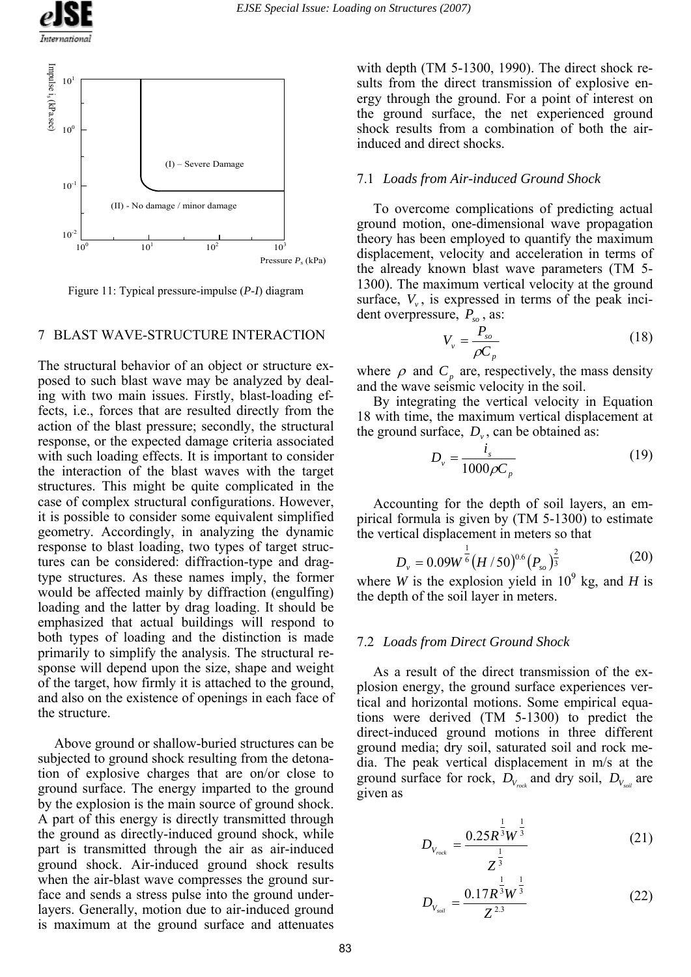



Figure 11: Typical pressure-impulse (*P*-*I*) diagram

#### 7 BLAST WAVE-STRUCTURE INTERACTION

The structural behavior of an object or structure exposed to such blast wave may be analyzed by dealing with two main issues. Firstly, blast-loading effects, i.e., forces that are resulted directly from the action of the blast pressure; secondly, the structural response, or the expected damage criteria associated with such loading effects. It is important to consider the interaction of the blast waves with the target structures. This might be quite complicated in the case of complex structural configurations. However, it is possible to consider some equivalent simplified geometry. Accordingly, in analyzing the dynamic response to blast loading, two types of target structures can be considered: diffraction-type and dragtype structures. As these names imply, the former would be affected mainly by diffraction (engulfing) loading and the latter by drag loading. It should be emphasized that actual buildings will respond to both types of loading and the distinction is made primarily to simplify the analysis. The structural response will depend upon the size, shape and weight of the target, how firmly it is attached to the ground, and also on the existence of openings in each face of the structure.

Above ground or shallow-buried structures can be subjected to ground shock resulting from the detonation of explosive charges that are on/or close to ground surface. The energy imparted to the ground by the explosion is the main source of ground shock. A part of this energy is directly transmitted through the ground as directly-induced ground shock, while part is transmitted through the air as air-induced ground shock. Air-induced ground shock results when the air-blast wave compresses the ground surface and sends a stress pulse into the ground underlayers. Generally, motion due to air-induced ground is maximum at the ground surface and attenuates

with depth (TM 5-1300, 1990). The direct shock results from the direct transmission of explosive energy through the ground. For a point of interest on the ground surface, the net experienced ground shock results from a combination of both the airinduced and direct shocks.

#### 7.1 *Loads from Air-induced Ground Shock*

To overcome complications of predicting actual ground motion, one-dimensional wave propagation theory has been employed to quantify the maximum displacement, velocity and acceleration in terms of the already known blast wave parameters (TM 5- 1300). The maximum vertical velocity at the ground surface,  $V_{\nu}$ , is expressed in terms of the peak incident overpressure,  $P_{so}$ , as:

$$
V_{\nu} = \frac{P_{so}}{\rho C_p} \tag{18}
$$

where  $\rho$  and  $C_p$  are, respectively, the mass density and the wave seismic velocity in the soil.

By integrating the vertical velocity in Equation 18 with time, the maximum vertical displacement at the ground surface,  $D_{\nu}$ , can be obtained as:

$$
D_{\nu} = \frac{i_s}{1000 \rho C_p} \tag{19}
$$

Accounting for the depth of soil layers, an empirical formula is given by (TM 5-1300) to estimate the vertical displacement in meters so that

$$
D_{v} = 0.09W^{\frac{1}{6}}(H/50)^{0.6}(P_{so})^{\frac{2}{3}}
$$
 (20)

where *W* is the explosion yield in  $10^9$  kg, and *H* is the depth of the soil layer in meters.

#### 7.2 *Loads from Direct Ground Shock*

As a result of the direct transmission of the explosion energy, the ground surface experiences vertical and horizontal motions. Some empirical equations were derived (TM 5-1300) to predict the direct-induced ground motions in three different ground media; dry soil, saturated soil and rock media. The peak vertical displacement in m/s at the ground surface for rock,  $D_{V_{\text{cont}}}$  and dry soil,  $D_{V_{\text{cont}}}$  are given as

$$
D_{V_{rock}} = \frac{0.25R^{\frac{1}{3}}W^{\frac{1}{3}}}{Z^{\frac{1}{3}}}
$$
 (21)

$$
D_{V_{soul}} = \frac{0.17R^{\frac{1}{3}}W^{\frac{1}{3}}}{Z^{2.3}}
$$
 (22)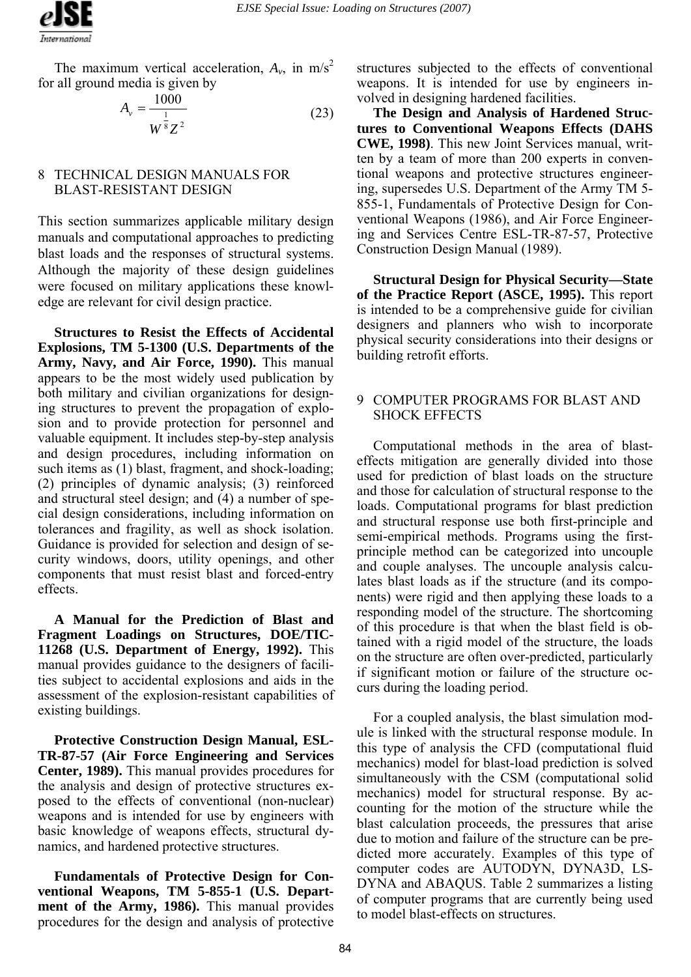The maximum vertical acceleration,  $A_v$ , in m/s<sup>2</sup> for all ground media is given by

$$
A_{\nu} = \frac{1000}{W^8 Z^2}
$$
 (23)

# 8 TECHNICAL DESIGN MANUALS FOR BLAST-RESISTANT DESIGN

This section summarizes applicable military design manuals and computational approaches to predicting blast loads and the responses of structural systems. Although the majority of these design guidelines were focused on military applications these knowledge are relevant for civil design practice.

**Structures to Resist the Effects of Accidental Explosions, TM 5-1300 (U.S. Departments of the Army, Navy, and Air Force, 1990).** This manual appears to be the most widely used publication by both military and civilian organizations for designing structures to prevent the propagation of explosion and to provide protection for personnel and valuable equipment. It includes step-by-step analysis and design procedures, including information on such items as (1) blast, fragment, and shock-loading; (2) principles of dynamic analysis; (3) reinforced and structural steel design; and (4) a number of special design considerations, including information on tolerances and fragility, as well as shock isolation. Guidance is provided for selection and design of security windows, doors, utility openings, and other components that must resist blast and forced-entry effects.

**A Manual for the Prediction of Blast and Fragment Loadings on Structures, DOE/TIC-11268 (U.S. Department of Energy, 1992).** This manual provides guidance to the designers of facilities subject to accidental explosions and aids in the assessment of the explosion-resistant capabilities of existing buildings.

**Protective Construction Design Manual, ESL-TR-87-57 (Air Force Engineering and Services Center, 1989).** This manual provides procedures for the analysis and design of protective structures exposed to the effects of conventional (non-nuclear) weapons and is intended for use by engineers with basic knowledge of weapons effects, structural dynamics, and hardened protective structures.

**Fundamentals of Protective Design for Conventional Weapons, TM 5-855-1 (U.S. Department of the Army, 1986).** This manual provides procedures for the design and analysis of protective

structures subjected to the effects of conventional weapons. It is intended for use by engineers involved in designing hardened facilities.

**The Design and Analysis of Hardened Structures to Conventional Weapons Effects (DAHS CWE, 1998)**. This new Joint Services manual, written by a team of more than 200 experts in conventional weapons and protective structures engineering, supersedes U.S. Department of the Army TM 5- 855-1, Fundamentals of Protective Design for Conventional Weapons (1986), and Air Force Engineering and Services Centre ESL-TR-87-57, Protective Construction Design Manual (1989).

**Structural Design for Physical Security—State of the Practice Report (ASCE, 1995).** This report is intended to be a comprehensive guide for civilian designers and planners who wish to incorporate physical security considerations into their designs or building retrofit efforts.

# 9 COMPUTER PROGRAMS FOR BLAST AND SHOCK EFFECTS

Computational methods in the area of blasteffects mitigation are generally divided into those used for prediction of blast loads on the structure and those for calculation of structural response to the loads. Computational programs for blast prediction and structural response use both first-principle and semi-empirical methods. Programs using the firstprinciple method can be categorized into uncouple and couple analyses. The uncouple analysis calculates blast loads as if the structure (and its components) were rigid and then applying these loads to a responding model of the structure. The shortcoming of this procedure is that when the blast field is obtained with a rigid model of the structure, the loads on the structure are often over-predicted, particularly if significant motion or failure of the structure occurs during the loading period.

For a coupled analysis, the blast simulation module is linked with the structural response module. In this type of analysis the CFD (computational fluid mechanics) model for blast-load prediction is solved simultaneously with the CSM (computational solid mechanics) model for structural response. By accounting for the motion of the structure while the blast calculation proceeds, the pressures that arise due to motion and failure of the structure can be predicted more accurately. Examples of this type of computer codes are AUTODYN, DYNA3D, LS-DYNA and ABAQUS. Table 2 summarizes a listing of computer programs that are currently being used to model blast-effects on structures.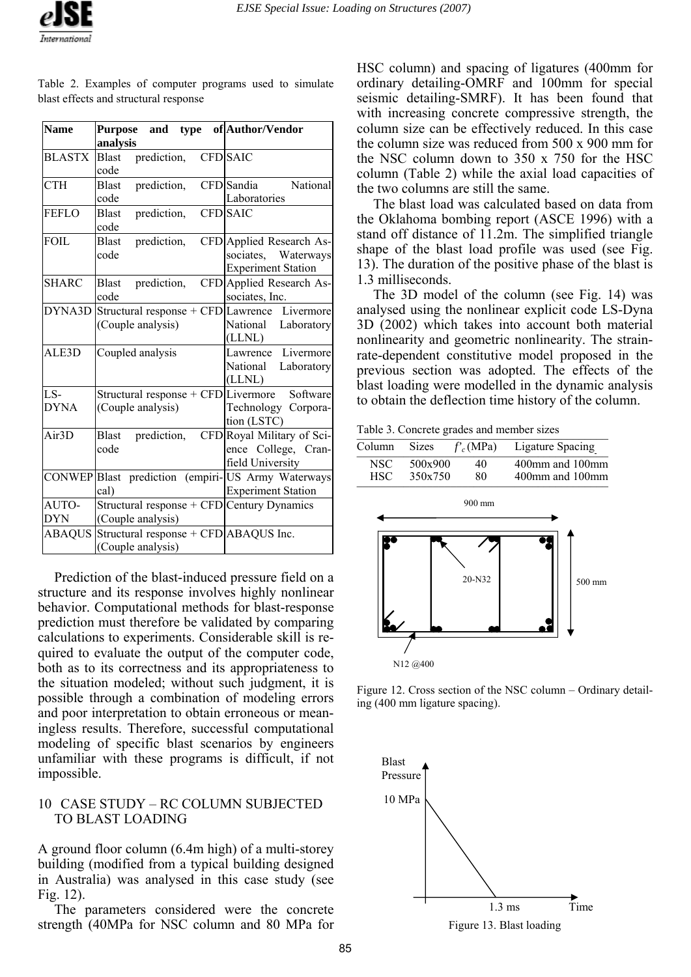|                                       |  | Table 2. Examples of computer programs used to simulate |  |  |  |  |  |  |
|---------------------------------------|--|---------------------------------------------------------|--|--|--|--|--|--|
| blast effects and structural response |  |                                                         |  |  |  |  |  |  |

| <b>Name</b>   | <b>Purpose</b><br>and type                        | of Author/Vendor           |
|---------------|---------------------------------------------------|----------------------------|
|               | analysis                                          |                            |
| <b>BLASTX</b> | prediction,<br><b>Blast</b>                       | <b>CFD</b> SAIC            |
|               | code                                              |                            |
| <b>CTH</b>    | <b>Blast</b><br>prediction,                       | National<br>CFD Sandia     |
|               | code                                              | Laboratories               |
| <b>FEFLO</b>  | prediction,<br><b>Blast</b>                       | <b>CFD</b> SAIC            |
|               | code                                              |                            |
| FOIL          | prediction,<br><b>Blast</b>                       | CFD Applied Research As-   |
|               | code                                              | sociates, Waterways        |
|               |                                                   | <b>Experiment Station</b>  |
| <b>SHARC</b>  | prediction,<br><b>Blast</b>                       | CFD Applied Research As-   |
|               | code                                              | sociates, Inc.             |
| DYNA3D        | Structural response + CFD Lawrence                | Livermore                  |
|               | (Couple analysis)                                 | National<br>Laboratory     |
|               |                                                   | (LLNL)                     |
| ALE3D         | Coupled analysis                                  | Lawrence Livermore         |
|               |                                                   | National<br>Laboratory     |
|               |                                                   | (LLNL)                     |
| LS-           | Structural response + CFD Livermore Software      |                            |
| <b>DYNA</b>   | (Couple analysis)                                 | Technology Corpora-        |
|               |                                                   | tion (LSTC)                |
| Air3D         | prediction,<br>Blast                              | CFD Royal Military of Sci- |
|               | code                                              | ence College, Cran-        |
|               |                                                   | field University           |
|               | CONWEP Blast prediction (empiri-US Army Waterways |                            |
|               | cal)                                              | <b>Experiment Station</b>  |
| AUTO-         | Structural response + $CFD$ Century Dynamics      |                            |
| DYN           | (Couple analysis)                                 |                            |
| <b>ABAQUS</b> | Structural response + $CFD$ ABAQUS Inc.           |                            |
|               | (Couple analysis)                                 |                            |

Prediction of the blast-induced pressure field on a structure and its response involves highly nonlinear behavior. Computational methods for blast-response prediction must therefore be validated by comparing calculations to experiments. Considerable skill is required to evaluate the output of the computer code, both as to its correctness and its appropriateness to the situation modeled; without such judgment, it is possible through a combination of modeling errors and poor interpretation to obtain erroneous or meaningless results. Therefore, successful computational modeling of specific blast scenarios by engineers unfamiliar with these programs is difficult, if not impossible.

# 10 CASE STUDY – RC COLUMN SUBJECTED TO BLAST LOADING

A ground floor column (6.4m high) of a multi-storey building (modified from a typical building designed in Australia) was analysed in this case study (see Fig. 12).

The parameters considered were the concrete strength (40MPa for NSC column and 80 MPa for

HSC column) and spacing of ligatures (400mm for ordinary detailing-OMRF and 100mm for special seismic detailing-SMRF). It has been found that with increasing concrete compressive strength, the column size can be effectively reduced. In this case the column size was reduced from 500 x 900 mm for the NSC column down to 350 x 750 for the HSC column (Table 2) while the axial load capacities of the two columns are still the same.

The blast load was calculated based on data from the Oklahoma bombing report (ASCE 1996) with a stand off distance of 11.2m. The simplified triangle shape of the blast load profile was used (see Fig. 13). The duration of the positive phase of the blast is 1.3 milliseconds.

The 3D model of the column (see Fig. 14) was analysed using the nonlinear explicit code LS-Dyna 3D (2002) which takes into account both material nonlinearity and geometric nonlinearity. The strainrate-dependent constitutive model proposed in the previous section was adopted. The effects of the blast loading were modelled in the dynamic analysis to obtain the deflection time history of the column.

Table 3. Concrete grades and member sizes



Figure 12. Cross section of the NSC column – Ordinary detailing (400 mm ligature spacing).

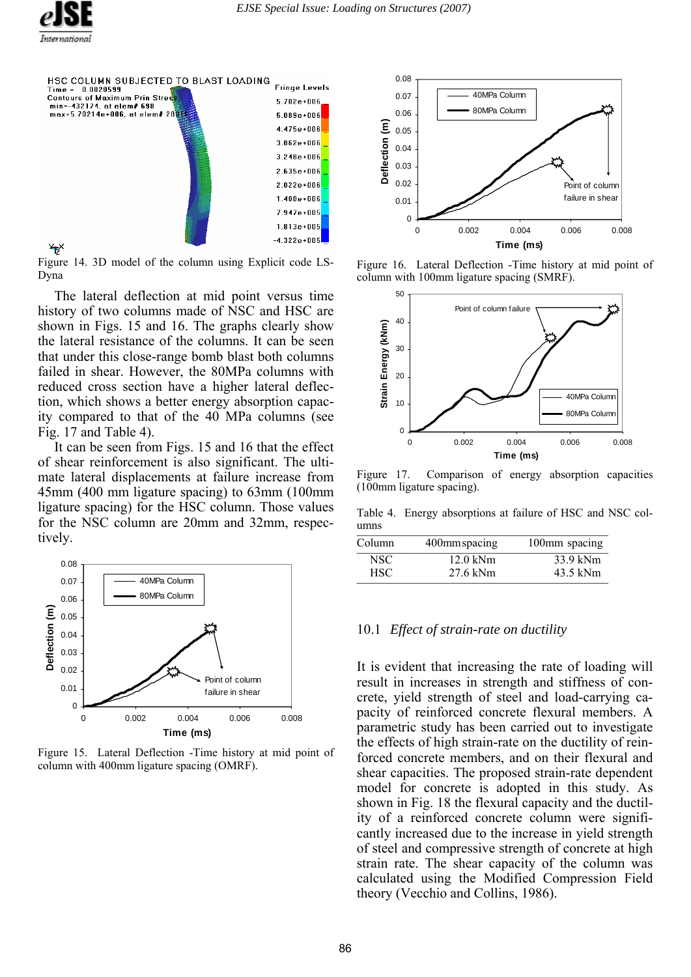



Figure 14. 3D model of the column using Explicit code LS-Dyna

The lateral deflection at mid point versus time history of two columns made of NSC and HSC are shown in Figs. 15 and 16. The graphs clearly show the lateral resistance of the columns. It can be seen that under this close-range bomb blast both columns failed in shear. However, the 80MPa columns with reduced cross section have a higher lateral deflection, which shows a better energy absorption capacity compared to that of the 40 MPa columns (see Fig. 17 and Table 4).

It can be seen from Figs. 15 and 16 that the effect of shear reinforcement is also significant. The ultimate lateral displacements at failure increase from 45mm (400 mm ligature spacing) to 63mm (100mm ligature spacing) for the HSC column. Those values for the NSC column are 20mm and 32mm, respectively.



Figure 15. Lateral Deflection -Time history at mid point of column with 400mm ligature spacing (OMRF).



Figure 16. Lateral Deflection -Time history at mid point of column with 100mm ligature spacing (SMRF).



Figure 17. Comparison of energy absorption capacities (100mm ligature spacing).

Table 4. Energy absorptions at failure of HSC and NSC columns  $\mathsf{u}$  mms

| Column     | 400 mm spacing     | 100mm spacing |
|------------|--------------------|---------------|
| NSC.       | $12.0 \text{ kNm}$ | 33.9 kNm      |
| <b>HSC</b> | 27.6 kNm           | 43.5 kNm      |

## 10.1 *Effect of strain-rate on ductility*

It is evident that increasing the rate of loading will result in increases in strength and stiffness of concrete, yield strength of steel and load-carrying capacity of reinforced concrete flexural members. A parametric study has been carried out to investigate the effects of high strain-rate on the ductility of reinforced concrete members, and on their flexural and shear capacities. The proposed strain-rate dependent model for concrete is adopted in this study. As shown in Fig. 18 the flexural capacity and the ductility of a reinforced concrete column were significantly increased due to the increase in yield strength of steel and compressive strength of concrete at high strain rate. The shear capacity of the column was calculated using the Modified Compression Field theory (Vecchio and Collins, 1986).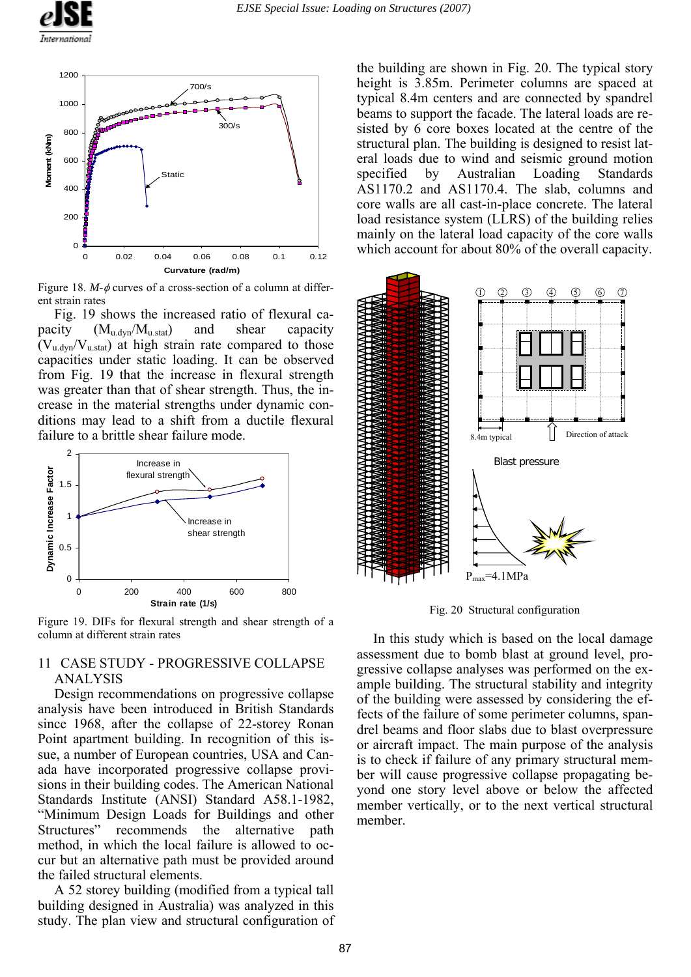



Figure 18. *M-*φ curves of a cross-section of a column at different strain rates

Fig. 19 shows the increased ratio of flexural capacity  $(M_{u,dyn}/M_{u,stat})$  and shear capacity  $(V_{\text{u.dvn}}/V_{\text{u.stat}})$  at high strain rate compared to those capacities under static loading. It can be observed from Fig. 19 that the increase in flexural strength was greater than that of shear strength. Thus, the increase in the material strengths under dynamic conditions may lead to a shift from a ductile flexural failure to a brittle shear failure mode.



Figure 19. DIFs for flexural strength and shear strength of a column at different strain rates

## 11 CASE STUDY - PROGRESSIVE COLLAPSE ANALYSIS

Design recommendations on progressive collapse analysis have been introduced in British Standards since 1968, after the collapse of 22-storey Ronan Point apartment building. In recognition of this issue, a number of European countries, USA and Canada have incorporated progressive collapse provisions in their building codes. The American National Standards Institute (ANSI) Standard A58.1-1982, "Minimum Design Loads for Buildings and other Structures" recommends the alternative path method, in which the local failure is allowed to occur but an alternative path must be provided around the failed structural elements.

A 52 storey building (modified from a typical tall building designed in Australia) was analyzed in this study. The plan view and structural configuration of

the building are shown in Fig. 20. The typical story height is 3.85m. Perimeter columns are spaced at typical 8.4m centers and are connected by spandrel beams to support the facade. The lateral loads are resisted by 6 core boxes located at the centre of the structural plan. The building is designed to resist lateral loads due to wind and seismic ground motion specified by Australian Loading Standards AS1170.2 and AS1170.4. The slab, columns and core walls are all cast-in-place concrete. The lateral load resistance system (LLRS) of the building relies mainly on the lateral load capacity of the core walls which account for about 80% of the overall capacity.



Fig. 20 Structural configuration

In this study which is based on the local damage assessment due to bomb blast at ground level, progressive collapse analyses was performed on the example building. The structural stability and integrity of the building were assessed by considering the effects of the failure of some perimeter columns, spandrel beams and floor slabs due to blast overpressure or aircraft impact. The main purpose of the analysis is to check if failure of any primary structural member will cause progressive collapse propagating beyond one story level above or below the affected member vertically, or to the next vertical structural member.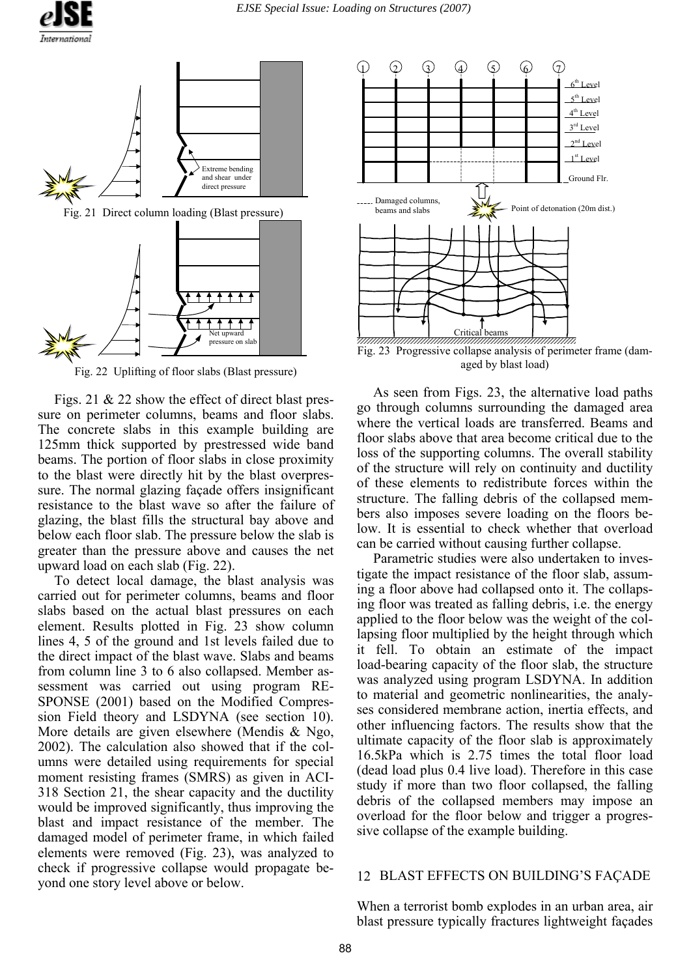

Fig. 22 Uplifting of floor slabs (Blast pressure)

Figs. 21 & 22 show the effect of direct blast pressure on perimeter columns, beams and floor slabs. The concrete slabs in this example building are 125mm thick supported by prestressed wide band beams. The portion of floor slabs in close proximity to the blast were directly hit by the blast overpressure. The normal glazing façade offers insignificant resistance to the blast wave so after the failure of glazing, the blast fills the structural bay above and below each floor slab. The pressure below the slab is greater than the pressure above and causes the net upward load on each slab (Fig. 22).

To detect local damage, the blast analysis was carried out for perimeter columns, beams and floor slabs based on the actual blast pressures on each element. Results plotted in Fig. 23 show column lines 4, 5 of the ground and 1st levels failed due to the direct impact of the blast wave. Slabs and beams from column line 3 to 6 also collapsed. Member assessment was carried out using program RE-SPONSE (2001) based on the Modified Compression Field theory and LSDYNA (see section 10). More details are given elsewhere (Mendis & Ngo, 2002). The calculation also showed that if the columns were detailed using requirements for special moment resisting frames (SMRS) as given in ACI-318 Section 21, the shear capacity and the ductility would be improved significantly, thus improving the blast and impact resistance of the member. The damaged model of perimeter frame, in which failed elements were removed (Fig. 23), was analyzed to check if progressive collapse would propagate beyond one story level above or below.



Fig. 23 Progressive collapse analysis of perimeter frame (damaged by blast load)

As seen from Figs. 23, the alternative load paths go through columns surrounding the damaged area where the vertical loads are transferred. Beams and floor slabs above that area become critical due to the loss of the supporting columns. The overall stability of the structure will rely on continuity and ductility of these elements to redistribute forces within the structure. The falling debris of the collapsed members also imposes severe loading on the floors below. It is essential to check whether that overload can be carried without causing further collapse.

Parametric studies were also undertaken to investigate the impact resistance of the floor slab, assuming a floor above had collapsed onto it. The collapsing floor was treated as falling debris, i.e. the energy applied to the floor below was the weight of the collapsing floor multiplied by the height through which it fell. To obtain an estimate of the impact load-bearing capacity of the floor slab, the structure was analyzed using program LSDYNA. In addition to material and geometric nonlinearities, the analyses considered membrane action, inertia effects, and other influencing factors. The results show that the ultimate capacity of the floor slab is approximately 16.5kPa which is 2.75 times the total floor load (dead load plus 0.4 live load). Therefore in this case study if more than two floor collapsed, the falling debris of the collapsed members may impose an overload for the floor below and trigger a progressive collapse of the example building.

#### 12 BLAST EFFECTS ON BUILDING'S FAÇADE

When a terrorist bomb explodes in an urban area, air blast pressure typically fractures lightweight façades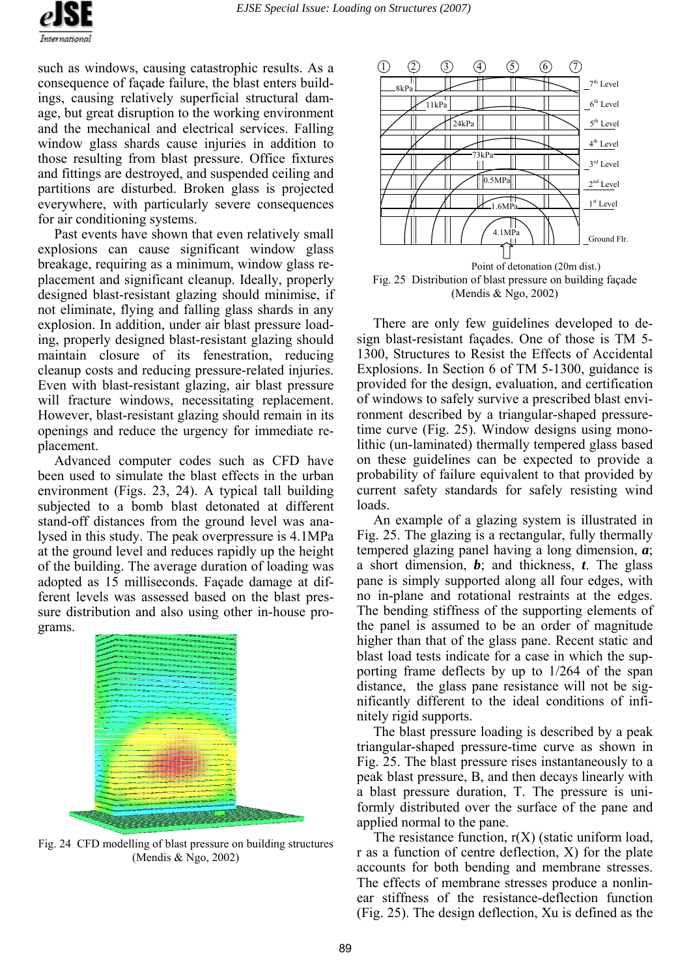

such as windows, causing catastrophic results. As a consequence of façade failure, the blast enters buildings, causing relatively superficial structural damage, but great disruption to the working environment and the mechanical and electrical services. Falling window glass shards cause injuries in addition to those resulting from blast pressure. Office fixtures and fittings are destroyed, and suspended ceiling and partitions are disturbed. Broken glass is projected everywhere, with particularly severe consequences for air conditioning systems.

Past events have shown that even relatively small explosions can cause significant window glass breakage, requiring as a minimum, window glass replacement and significant cleanup. Ideally, properly designed blast-resistant glazing should minimise, if not eliminate, flying and falling glass shards in any explosion. In addition, under air blast pressure loading, properly designed blast-resistant glazing should maintain closure of its fenestration, reducing cleanup costs and reducing pressure-related injuries. Even with blast-resistant glazing, air blast pressure will fracture windows, necessitating replacement. However, blast-resistant glazing should remain in its openings and reduce the urgency for immediate replacement.

Advanced computer codes such as CFD have been used to simulate the blast effects in the urban environment (Figs. 23, 24). A typical tall building subjected to a bomb blast detonated at different stand-off distances from the ground level was analysed in this study. The peak overpressure is 4.1MPa at the ground level and reduces rapidly up the height of the building. The average duration of loading was adopted as 15 milliseconds. Façade damage at different levels was assessed based on the blast pressure distribution and also using other in-house programs.



Fig. 24 CFD modelling of blast pressure on building structures (Mendis & Ngo, 2002)



Fig. 25 Distribution of blast pressure on building façade (Mendis & Ngo, 2002)

There are only few guidelines developed to design blast-resistant façades. One of those is TM 5- 1300, Structures to Resist the Effects of Accidental Explosions. In Section 6 of TM 5-1300, guidance is provided for the design, evaluation, and certification of windows to safely survive a prescribed blast environment described by a triangular-shaped pressuretime curve (Fig. 25). Window designs using monolithic (un-laminated) thermally tempered glass based on these guidelines can be expected to provide a probability of failure equivalent to that provided by current safety standards for safely resisting wind loads.

An example of a glazing system is illustrated in Fig. 25. The glazing is a rectangular, fully thermally tempered glazing panel having a long dimension, *a*; a short dimension, *b*; and thickness, *t*. The glass pane is simply supported along all four edges, with no in-plane and rotational restraints at the edges. The bending stiffness of the supporting elements of the panel is assumed to be an order of magnitude higher than that of the glass pane. Recent static and blast load tests indicate for a case in which the supporting frame deflects by up to 1/264 of the span distance, the glass pane resistance will not be significantly different to the ideal conditions of infinitely rigid supports.

The blast pressure loading is described by a peak triangular-shaped pressure-time curve as shown in Fig. 25. The blast pressure rises instantaneously to a peak blast pressure, B, and then decays linearly with a blast pressure duration, T. The pressure is uniformly distributed over the surface of the pane and applied normal to the pane.

The resistance function,  $r(X)$  (static uniform load, r as a function of centre deflection, X) for the plate accounts for both bending and membrane stresses. The effects of membrane stresses produce a nonlinear stiffness of the resistance-deflection function (Fig. 25). The design deflection, Xu is defined as the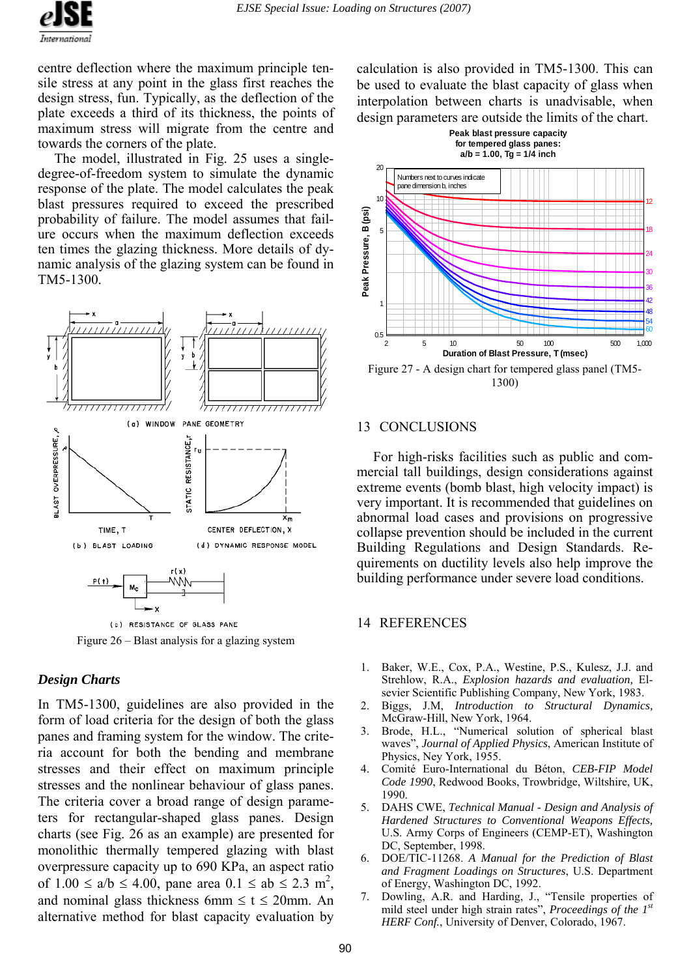

centre deflection where the maximum principle tensile stress at any point in the glass first reaches the design stress, fun. Typically, as the deflection of the plate exceeds a third of its thickness, the points of maximum stress will migrate from the centre and towards the corners of the plate.

The model, illustrated in Fig. 25 uses a singledegree-of-freedom system to simulate the dynamic response of the plate. The model calculates the peak blast pressures required to exceed the prescribed probability of failure. The model assumes that failure occurs when the maximum deflection exceeds ten times the glazing thickness. More details of dynamic analysis of the glazing system can be found in TM5-1300.



Figure 26 – Blast analysis for a glazing system

# *Design Charts*

In TM5-1300, guidelines are also provided in the form of load criteria for the design of both the glass panes and framing system for the window. The criteria account for both the bending and membrane stresses and their effect on maximum principle stresses and the nonlinear behaviour of glass panes. The criteria cover a broad range of design parameters for rectangular-shaped glass panes. Design charts (see Fig. 26 as an example) are presented for monolithic thermally tempered glazing with blast overpressure capacity up to 690 KPa, an aspect ratio of  $1.00 \le a/b \le 4.00$ , pane area  $0.1 \le ab \le 2.3$  m<sup>2</sup>, and nominal glass thickness 6mm  $\leq t \leq 20$ mm. An alternative method for blast capacity evaluation by

calculation is also provided in TM5-1300. This can be used to evaluate the blast capacity of glass when interpolation between charts is unadvisable, when design parameters are outside the limits of the chart.



Figure 27 - A design chart for tempered glass panel (TM5- 1300)

## 13 CONCLUSIONS

For high-risks facilities such as public and commercial tall buildings, design considerations against extreme events (bomb blast, high velocity impact) is very important. It is recommended that guidelines on abnormal load cases and provisions on progressive collapse prevention should be included in the current Building Regulations and Design Standards. Requirements on ductility levels also help improve the building performance under severe load conditions.

#### 14 REFERENCES

- 1. Baker, W.E., Cox, P.A., Westine, P.S., Kulesz, J.J. and Strehlow, R.A., *Explosion hazards and evaluation,* Elsevier Scientific Publishing Company, New York, 1983.
- 2. Biggs, J.M, *Introduction to Structural Dynamics,* McGraw-Hill, New York, 1964.
- 3. Brode, H.L., "Numerical solution of spherical blast waves", *Journal of Applied Physics*, American Institute of Physics, Ney York, 1955.
- 4. Comité Euro-International du Béton, *CEB-FIP Model Code 1990*, Redwood Books, Trowbridge, Wiltshire, UK, 1990.
- 5. DAHS CWE, *Technical Manual Design and Analysis of Hardened Structures to Conventional Weapons Effects,* U.S. Army Corps of Engineers (CEMP-ET), Washington DC, September, 1998.
- 6. DOE/TIC-11268. *A Manual for the Prediction of Blast and Fragment Loadings on Structures*, U.S. Department of Energy, Washington DC, 1992.
- 7. Dowling, A.R. and Harding, J., "Tensile properties of mild steel under high strain rates", *Proceedings of the 1st HERF Conf.*, University of Denver, Colorado, 1967.